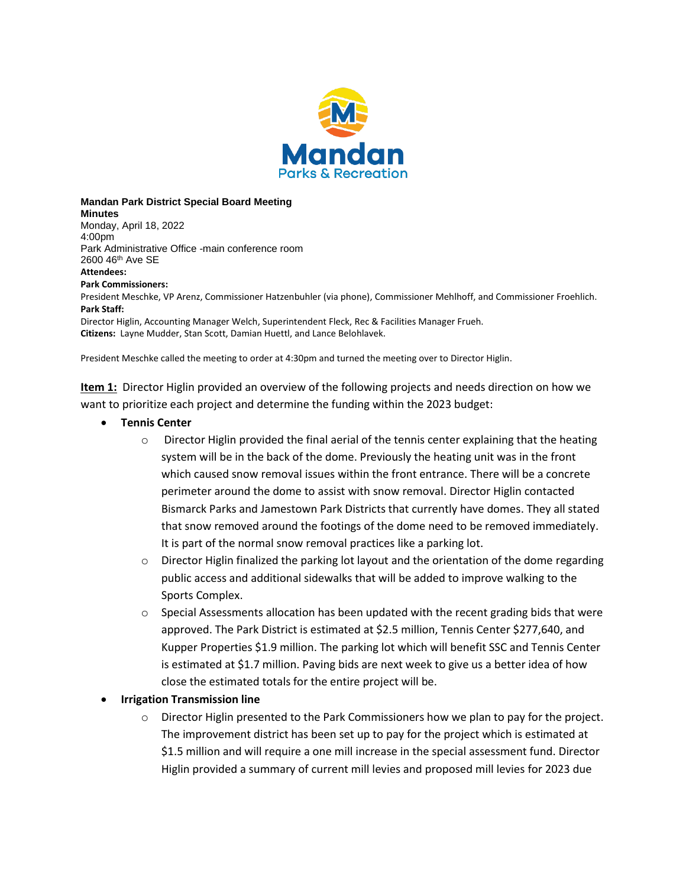

**Mandan Park District Special Board Meeting Minutes**

Monday, April 18, 2022 4:00pm Park Administrative Office -main conference room 2600 46th Ave SE **Attendees: Park Commissioners:** President Meschke, VP Arenz, Commissioner Hatzenbuhler (via phone), Commissioner Mehlhoff, and Commissioner Froehlich. **Park Staff:** Director Higlin, Accounting Manager Welch, Superintendent Fleck, Rec & Facilities Manager Frueh. **Citizens:** Layne Mudder, Stan Scott, Damian Huettl, and Lance Belohlavek.

President Meschke called the meeting to order at 4:30pm and turned the meeting over to Director Higlin.

**Item 1:** Director Higlin provided an overview of the following projects and needs direction on how we want to prioritize each project and determine the funding within the 2023 budget:

- **Tennis Center** 
	- $\circ$  Director Higlin provided the final aerial of the tennis center explaining that the heating system will be in the back of the dome. Previously the heating unit was in the front which caused snow removal issues within the front entrance. There will be a concrete perimeter around the dome to assist with snow removal. Director Higlin contacted Bismarck Parks and Jamestown Park Districts that currently have domes. They all stated that snow removed around the footings of the dome need to be removed immediately. It is part of the normal snow removal practices like a parking lot.
	- $\circ$  Director Higlin finalized the parking lot layout and the orientation of the dome regarding public access and additional sidewalks that will be added to improve walking to the Sports Complex.
	- $\circ$  Special Assessments allocation has been updated with the recent grading bids that were approved. The Park District is estimated at \$2.5 million, Tennis Center \$277,640, and Kupper Properties \$1.9 million. The parking lot which will benefit SSC and Tennis Center is estimated at \$1.7 million. Paving bids are next week to give us a better idea of how close the estimated totals for the entire project will be.

#### **Irrigation Transmission line**

 $\circ$  Director Higlin presented to the Park Commissioners how we plan to pay for the project. The improvement district has been set up to pay for the project which is estimated at \$1.5 million and will require a one mill increase in the special assessment fund. Director Higlin provided a summary of current mill levies and proposed mill levies for 2023 due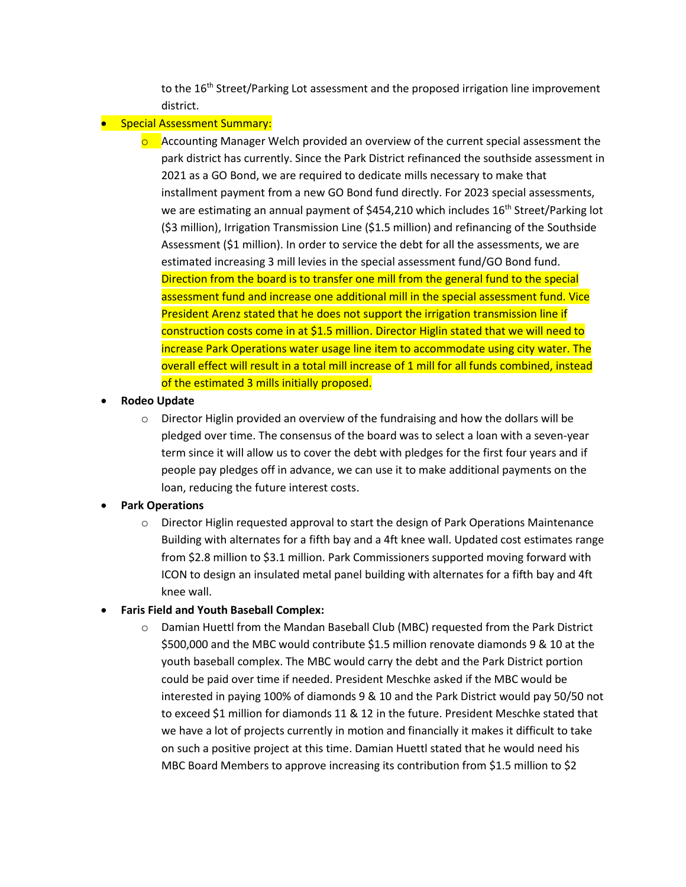to the 16<sup>th</sup> Street/Parking Lot assessment and the proposed irrigation line improvement district.

### **•** Special Assessment Summary:

 $\circ$  Accounting Manager Welch provided an overview of the current special assessment the park district has currently. Since the Park District refinanced the southside assessment in 2021 as a GO Bond, we are required to dedicate mills necessary to make that installment payment from a new GO Bond fund directly. For 2023 special assessments, we are estimating an annual payment of \$454,210 which includes  $16<sup>th</sup>$  Street/Parking lot (\$3 million), Irrigation Transmission Line (\$1.5 million) and refinancing of the Southside Assessment (\$1 million). In order to service the debt for all the assessments, we are estimated increasing 3 mill levies in the special assessment fund/GO Bond fund. Direction from the board is to transfer one mill from the general fund to the special assessment fund and increase one additional mill in the special assessment fund. Vice President Arenz stated that he does not support the irrigation transmission line if construction costs come in at \$1.5 million. Director Higlin stated that we will need to increase Park Operations water usage line item to accommodate using city water. The overall effect will result in a total mill increase of 1 mill for all funds combined, instead of the estimated 3 mills initially proposed.

#### **Rodeo Update**

 $\circ$  Director Higlin provided an overview of the fundraising and how the dollars will be pledged over time. The consensus of the board was to select a loan with a seven-year term since it will allow us to cover the debt with pledges for the first four years and if people pay pledges off in advance, we can use it to make additional payments on the loan, reducing the future interest costs.

# **Park Operations**

o Director Higlin requested approval to start the design of Park Operations Maintenance Building with alternates for a fifth bay and a 4ft knee wall. Updated cost estimates range from \$2.8 million to \$3.1 million. Park Commissioners supported moving forward with ICON to design an insulated metal panel building with alternates for a fifth bay and 4ft knee wall.

#### **Faris Field and Youth Baseball Complex:**

o Damian Huettl from the Mandan Baseball Club (MBC) requested from the Park District \$500,000 and the MBC would contribute \$1.5 million renovate diamonds 9 & 10 at the youth baseball complex. The MBC would carry the debt and the Park District portion could be paid over time if needed. President Meschke asked if the MBC would be interested in paying 100% of diamonds 9 & 10 and the Park District would pay 50/50 not to exceed \$1 million for diamonds 11 & 12 in the future. President Meschke stated that we have a lot of projects currently in motion and financially it makes it difficult to take on such a positive project at this time. Damian Huettl stated that he would need his MBC Board Members to approve increasing its contribution from \$1.5 million to \$2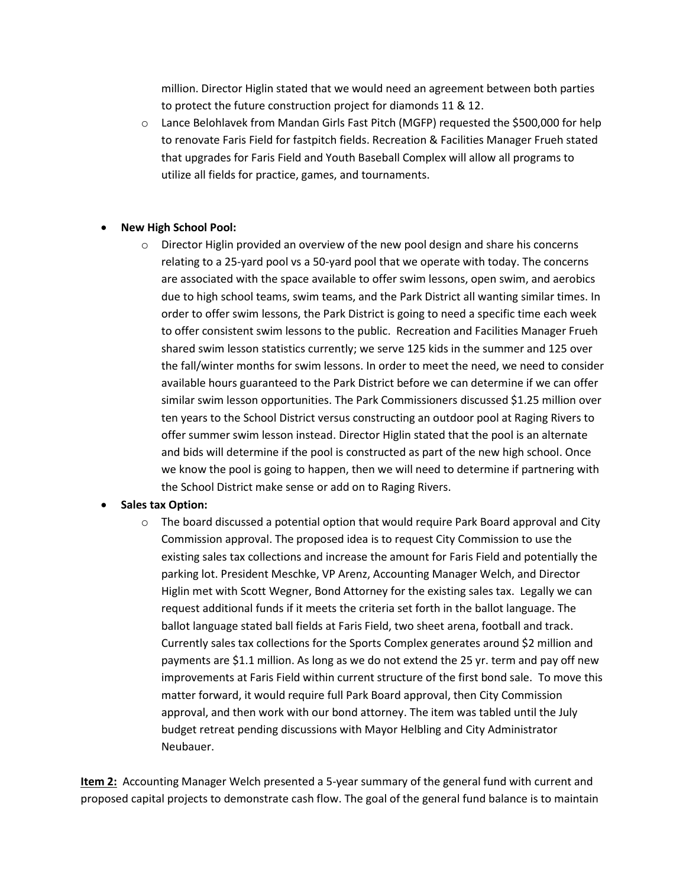million. Director Higlin stated that we would need an agreement between both parties to protect the future construction project for diamonds 11 & 12.

o Lance Belohlavek from Mandan Girls Fast Pitch (MGFP) requested the \$500,000 for help to renovate Faris Field for fastpitch fields. Recreation & Facilities Manager Frueh stated that upgrades for Faris Field and Youth Baseball Complex will allow all programs to utilize all fields for practice, games, and tournaments.

#### **New High School Pool:**

o Director Higlin provided an overview of the new pool design and share his concerns relating to a 25-yard pool vs a 50-yard pool that we operate with today. The concerns are associated with the space available to offer swim lessons, open swim, and aerobics due to high school teams, swim teams, and the Park District all wanting similar times. In order to offer swim lessons, the Park District is going to need a specific time each week to offer consistent swim lessons to the public. Recreation and Facilities Manager Frueh shared swim lesson statistics currently; we serve 125 kids in the summer and 125 over the fall/winter months for swim lessons. In order to meet the need, we need to consider available hours guaranteed to the Park District before we can determine if we can offer similar swim lesson opportunities. The Park Commissioners discussed \$1.25 million over ten years to the School District versus constructing an outdoor pool at Raging Rivers to offer summer swim lesson instead. Director Higlin stated that the pool is an alternate and bids will determine if the pool is constructed as part of the new high school. Once we know the pool is going to happen, then we will need to determine if partnering with the School District make sense or add on to Raging Rivers.

# **Sales tax Option:**

 $\circ$  The board discussed a potential option that would require Park Board approval and City Commission approval. The proposed idea is to request City Commission to use the existing sales tax collections and increase the amount for Faris Field and potentially the parking lot. President Meschke, VP Arenz, Accounting Manager Welch, and Director Higlin met with Scott Wegner, Bond Attorney for the existing sales tax. Legally we can request additional funds if it meets the criteria set forth in the ballot language. The ballot language stated ball fields at Faris Field, two sheet arena, football and track. Currently sales tax collections for the Sports Complex generates around \$2 million and payments are \$1.1 million. As long as we do not extend the 25 yr. term and pay off new improvements at Faris Field within current structure of the first bond sale. To move this matter forward, it would require full Park Board approval, then City Commission approval, and then work with our bond attorney. The item was tabled until the July budget retreat pending discussions with Mayor Helbling and City Administrator Neubauer.

**Item 2:** Accounting Manager Welch presented a 5-year summary of the general fund with current and proposed capital projects to demonstrate cash flow. The goal of the general fund balance is to maintain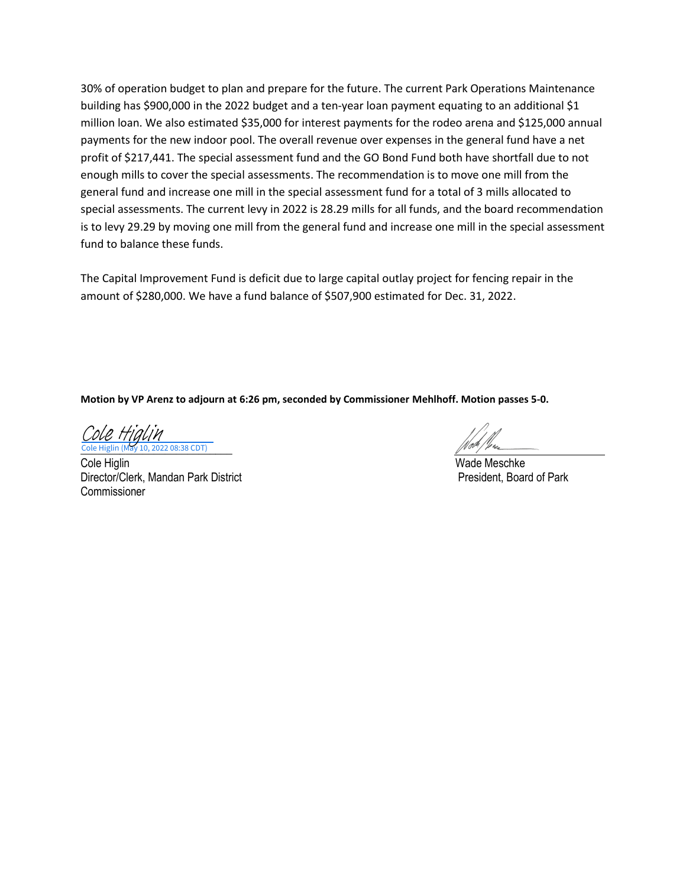30% of operation budget to plan and prepare for the future. The current Park Operations Maintenance building has \$900,000 in the 2022 budget and a ten-year loan payment equating to an additional \$1 million loan. We also estimated \$35,000 for interest payments for the rodeo arena and \$125,000 annual payments for the new indoor pool. The overall revenue over expenses in the general fund have a net profit of \$217,441. The special assessment fund and the GO Bond Fund both have shortfall due to not enough mills to cover the special assessments. The recommendation is to move one mill from the general fund and increase one mill in the special assessment fund for a total of 3 mills allocated to special assessments. The current levy in 2022 is 28.29 mills for all funds, and the board recommendation is to levy 29.29 by moving one mill from the general fund and increase one mill in the special assessment fund to balance these funds.

The Capital Improvement Fund is deficit due to large capital outlay project for fencing repair in the amount of \$280,000. We have a fund balance of \$507,900 estimated for Dec. 31, 2022.

**Motion by VP Arenz to adjourn at 6:26 pm, seconded by Commissioner Mehlhoff. Motion passes 5-0.** 

Cole Higlin (May 10, 2022 08:38 CDT) Cole Higlin (May 10, 2022 08:38 CDT) [Cole Higlin](https://adobefreeuserschannel.na1.documents.adobe.com/verifier?tx=CBJCHBCAABAANJeo4RIfTJTksvsbMLcb_mtlsZkXzer5)

Cole Higlin Wade Meschke Director/Clerk, Mandan Park District **President, Board of Park** President, Board of Park Commissioner